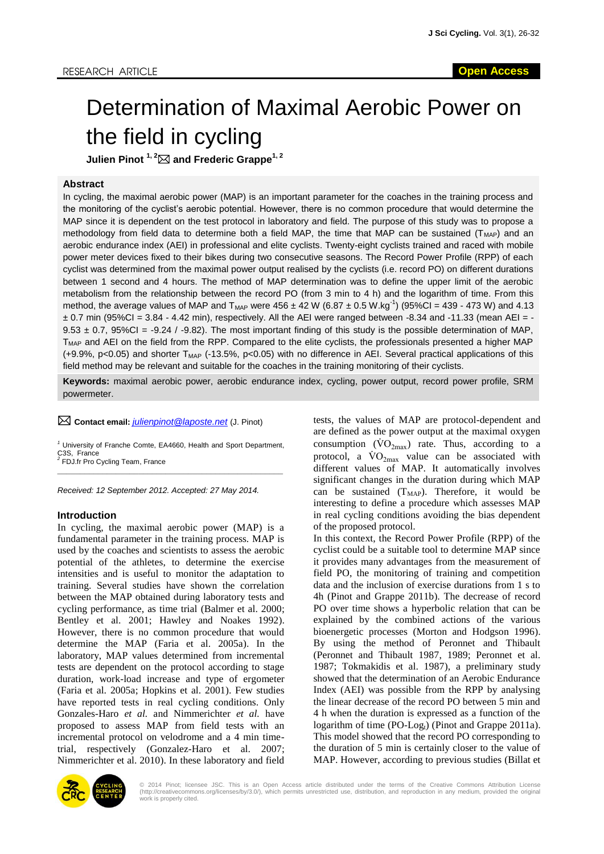# Determination of Maximal Aerobic Power on the field in cycling

**Julien Pinot 1, 2 and Frederic Grappe1, 2**

### **Abstract**

In cycling, the maximal aerobic power (MAP) is an important parameter for the coaches in the training process and the monitoring of the cyclist's aerobic potential. However, there is no common procedure that would determine the MAP since it is dependent on the test protocol in laboratory and field. The purpose of this study was to propose a methodology from field data to determine both a field MAP, the time that MAP can be sustained ( $T<sub>MAP</sub>$ ) and an aerobic endurance index (AEI) in professional and elite cyclists. Twenty-eight cyclists trained and raced with mobile power meter devices fixed to their bikes during two consecutive seasons. The Record Power Profile (RPP) of each cyclist was determined from the maximal power output realised by the cyclists (i.e. record PO) on different durations between 1 second and 4 hours. The method of MAP determination was to define the upper limit of the aerobic metabolism from the relationship between the record PO (from 3 min to 4 h) and the logarithm of time. From this method, the average values of MAP and T<sub>MAP</sub> were  $456 \pm 42$  W (6.87  $\pm$  0.5 W.kg<sup>-1</sup>) (95%Cl = 439 - 473 W) and 4.13  $\pm$  0.7 min (95%CI = 3.84 - 4.42 min), respectively. All the AEI were ranged between -8.34 and -11.33 (mean AEI = - $9.53 \pm 0.7$ ,  $95\%$ CI = -9.24 / -9.82). The most important finding of this study is the possible determination of MAP, T<sub>MAP</sub> and AEI on the field from the RPP. Compared to the elite cyclists, the professionals presented a higher MAP (+9.9%, p<0.05) and shorter  $T_{MAP}$  (-13.5%, p<0.05) with no difference in AEI. Several practical applications of this field method may be relevant and suitable for the coaches in the training monitoring of their cyclists.

**Keywords:** maximal aerobic power, aerobic endurance index, cycling, power output, record power profile, SRM powermeter.

**Contact email:** *[julienpinot@laposte.net](mailto:julienpinot@laposte.net)* (J. Pinot)

*<sup>1</sup>* University of Franche Comte, EA4660, Health and Sport Department, C<sub>3</sub>S, France *2* FDJ.fr Pro Cycling Team, France \_\_\_\_\_\_\_\_\_\_\_\_\_\_\_\_\_\_\_\_\_\_\_\_\_\_\_\_\_\_\_\_\_\_\_\_\_\_\_\_\_\_\_\_\_\_\_\_\_\_

*Received: 12 September 2012. Accepted: 27 May 2014.*

#### **Introduction**

In cycling, the maximal aerobic power (MAP) is a fundamental parameter in the training process. MAP is used by the coaches and scientists to assess the aerobic potential of the athletes, to determine the exercise intensities and is useful to monitor the adaptation to training. Several studies have shown the correlation between the MAP obtained during laboratory tests and cycling performance, as time trial (Balmer et al. 2000; Bentley et al. 2001; Hawley and Noakes 1992). However, there is no common procedure that would determine the MAP (Faria et al. 2005a). In the laboratory, MAP values determined from incremental tests are dependent on the protocol according to stage duration, work-load increase and type of ergometer (Faria et al. 2005a; Hopkins et al. 2001). Few studies have reported tests in real cycling conditions. Only Gonzales-Haro *et al.* and Nimmerichter *et al.* have proposed to assess MAP from field tests with an incremental protocol on velodrome and a 4 min timetrial, respectively (Gonzalez-Haro et al. 2007; Nimmerichter et al. 2010). In these laboratory and field

tests, the values of MAP are protocol-dependent and are defined as the power output at the maximal oxygen consumption  $(\dot{V}O_{2max})$  rate. Thus, according to a protocol, a  $\text{VO}_{2\text{max}}$  value can be associated with different values of MAP. It automatically involves significant changes in the duration during which MAP can be sustained  $(T<sub>MAP</sub>)$ . Therefore, it would be interesting to define a procedure which assesses MAP in real cycling conditions avoiding the bias dependent of the proposed protocol.

In this context, the Record Power Profile (RPP) of the cyclist could be a suitable tool to determine MAP since it provides many advantages from the measurement of field PO, the monitoring of training and competition data and the inclusion of exercise durations from 1 s to 4h (Pinot and Grappe 2011b). The decrease of record PO over time shows a hyperbolic relation that can be explained by the combined actions of the various bioenergetic processes (Morton and Hodgson 1996). By using the method of Peronnet and Thibault (Peronnet and Thibault 1987, 1989; Peronnet et al. 1987; Tokmakidis et al. 1987), a preliminary study showed that the determination of an Aerobic Endurance Index (AEI) was possible from the RPP by analysing the linear decrease of the record PO between 5 min and 4 h when the duration is expressed as a function of the logarithm of time  $(PO-Log<sub>t</sub>)$  (Pinot and Grappe 2011a). This model showed that the record PO corresponding to the duration of 5 min is certainly closer to the value of MAP. However, according to previous studies (Billat et



© 2014 Pinot; licensee JSC. This is an Open Access article distributed under the terms of the Creative Commons Attribution License<br>(http://creativecommons.org/licenses/by/3.0/), which permits unrestricted use, distribution work is properly cited.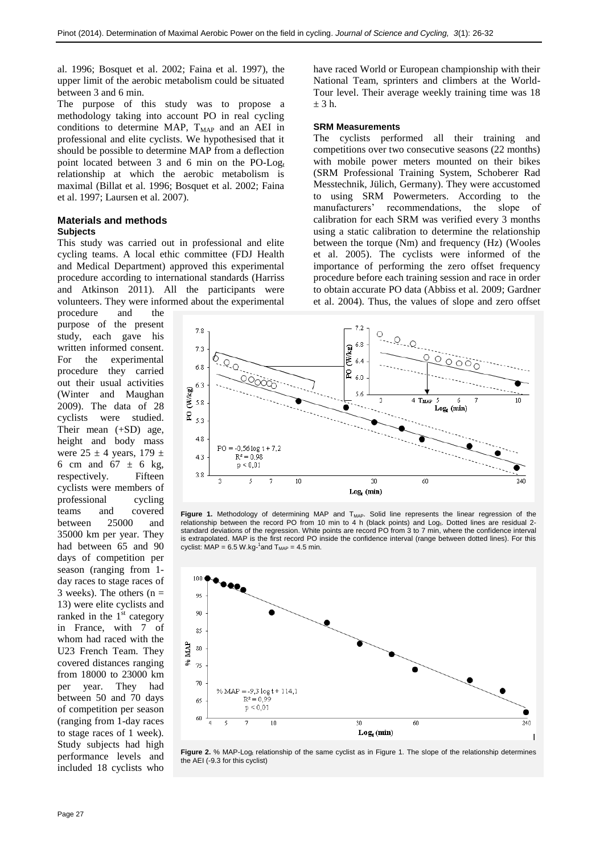al. 1996; Bosquet et al. 2002; Faina et al. 1997), the upper limit of the aerobic metabolism could be situated between 3 and 6 min.

The purpose of this study was to propose a methodology taking into account PO in real cycling conditions to determine MAP,  $T<sub>MAP</sub>$  and an AEI in professional and elite cyclists. We hypothesised that it should be possible to determine MAP from a deflection point located between 3 and 6 min on the PO-Log<sub>t</sub> relationship at which the aerobic metabolism is maximal (Billat et al. 1996; Bosquet et al. 2002; Faina et al. 1997; Laursen et al. 2007).

## **Materials and methods**

## **Subjects**

This study was carried out in professional and elite cycling teams. A local ethic committee (FDJ Health and Medical Department) approved this experimental procedure according to international standards (Harriss and Atkinson 2011). All the participants were volunteers. They were informed about the experimental

procedure and the purpose of the present study, each gave his written informed consent. For the experimental procedure they carried out their usual activities (Winter and Maughan 2009). The data of 28 cyclists were studied. Their mean (+SD) age, height and body mass were  $25 \pm 4$  years,  $179 \pm$ 6 cm and  $67 \pm 6$  kg, respectively. Fifteen cyclists were members of professional cycling teams and covered between 25000 and 35000 km per year. They had between 65 and 90 days of competition per season (ranging from 1 day races to stage races of 3 weeks). The others  $(n =$ 13) were elite cyclists and ranked in the  $1<sup>st</sup>$  category in France, with 7 of whom had raced with the U23 French Team. They covered distances ranging from 18000 to 23000 km per year. They had between 50 and 70 days of competition per season (ranging from 1-day races to stage races of 1 week). Study subjects had high performance levels and included 18 cyclists who

have raced World or European championship with their National Team, sprinters and climbers at the World-Tour level. Their average weekly training time was 18  $+3h$ 

#### **SRM Measurements**

The cyclists performed all their training and competitions over two consecutive seasons (22 months) with mobile power meters mounted on their bikes (SRM Professional Training System, Schoberer Rad Messtechnik, Jülich, Germany). They were accustomed to using SRM Powermeters. According to the manufacturers' recommendations, the slope of calibration for each SRM was verified every 3 months using a static calibration to determine the relationship between the torque (Nm) and frequency (Hz) (Wooles et al. 2005). The cyclists were informed of the importance of performing the zero offset frequency procedure before each training session and race in order to obtain accurate PO data (Abbiss et al. 2009; Gardner et al. 2004). Thus, the values of slope and zero offset



Figure 1. Methodology of determining MAP and T<sub>MAP</sub>. Solid line represents the linear regression of the relationship between the record PO from 10 min to 4 h (black points) and Logt. Dotted lines are residual 2standard deviations of the regression. White points are record PO from 3 to 7 min, where the confidence interval is extrapolated. MAP is the first record PO inside the confidence interval (range between dotted lines). For this cyclist:  $MAP = 6.5 W.kg-<sup>1</sup> and T<sub>MAP</sub> = 4.5 min.$ 



Figure 2. % MAP-Log<sub>t</sub> relationship of the same cyclist as in Figure 1. The slope of the relationship determines the AEI (-9.3 for this cyclist)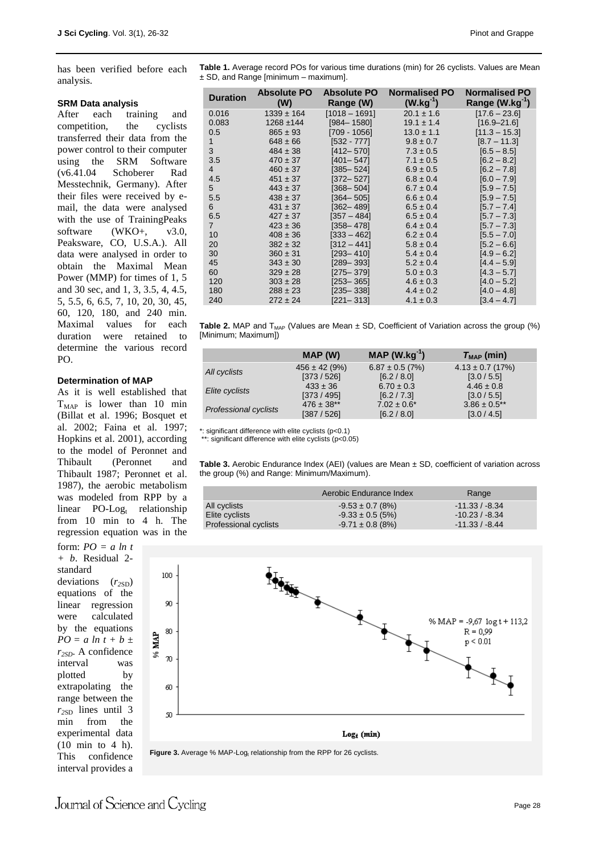has been verified before each analysis.

#### **SRM Data analysis**

After each training and competition, the cyclists transferred their data from the power control to their computer using the SRM Software (v6.41.04 Schoberer Rad Messtechnik, Germany). After their files were received by email, the data were analysed with the use of TrainingPeaks software  $(WKO+$ ,  $v3.0$ , Peaksware, CO, U.S.A.). All data were analysed in order to obtain the Maximal Mean Power (MMP) for times of 1, 5 and 30 sec, and 1, 3, 3.5, 4, 4.5, 5, 5.5, 6, 6.5, 7, 10, 20, 30, 45, 60, 120, 180, and 240 min. Maximal values for each duration were retained to determine the various record PO.

#### **Determination of MAP**

As it is well established that  $T<sub>MAP</sub>$  is lower than 10 min (Billat et al. 1996; Bosquet et al. 2002; Faina et al. 1997; Hopkins et al. 2001), according to the model of Peronnet and Thibault (Peronnet and Thibault 1987; Peronnet et al. 1987), the aerobic metabolism was modeled from RPP by a linear  $PO-Log_t$  relationship from 10 min to 4 h. The regression equation was in the

form: *PO = a ln t + b*. Residual 2 standard deviations ( $r<sub>2SD</sub>$ ) equations of the linear regression were calculated by the equations *PO* =  $a \ln t + b \pm$ *r2SD*. A confidence interval was plotted by extrapolating the range between the  $r_{2SD}$  lines until 3 min from the experimental data (10 min to 4 h). This confidence interval provides a

**Table 1.** Average record POs for various time durations (min) for 26 cyclists. Values are Mean ± SD, and Range [minimum – maximum].

| <b>Duration</b> | <b>Absolute PO</b><br>(W) | <b>Absolute PO</b><br>Range (W) | <b>Normalised PO</b><br>$(W.kg^{-1})$ | <b>Normalised PO</b><br>Range (W.kg <sup>-'</sup> ) |
|-----------------|---------------------------|---------------------------------|---------------------------------------|-----------------------------------------------------|
| 0.016           | $1339 \pm 164$            | $[1018 - 1691]$                 | $20.1 \pm 1.6$                        | $[17.6 - 23.6]$                                     |
| 0.083           | $1268 + 144$              | $[984 - 1580]$                  | $19.1 \pm 1.4$                        | $[16.9 - 21.6]$                                     |
| 0.5             | $865 \pm 93$              | $[709 - 1056]$                  | $13.0 \pm 1.1$                        | $[11.3 - 15.3]$                                     |
| 1               | $648 \pm 66$              | $[532 - 777]$                   | $9.8 \pm 0.7$                         | $[8.7 - 11.3]$                                      |
| 3               | $484 \pm 38$              | $[412 - 570]$                   | $7.3 \pm 0.5$                         | $[6.5 - 8.5]$                                       |
| 3.5             | $470 \pm 37$              | $[401 - 547]$                   | $7.1 \pm 0.5$                         | $[6.2 - 8.2]$                                       |
| $\overline{4}$  | $460 \pm 37$              | $[385 - 524]$                   | $6.9 \pm 0.5$                         | $[6.2 - 7.8]$                                       |
| 4.5             | $451 \pm 37$              | $[372 - 527]$                   | $6.8 \pm 0.4$                         | $[6.0 - 7.9]$                                       |
| 5               | $443 \pm 37$              | $[368 - 504]$                   | $6.7 \pm 0.4$                         | $[5.9 - 7.5]$                                       |
| 5.5             | $438 \pm 37$              | $[364 - 505]$                   | $6.6 \pm 0.4$                         | $[5.9 - 7.5]$                                       |
| 6               | $431 \pm 37$              | $[362 - 489]$                   | $6.5 \pm 0.4$                         | $[5.7 - 7.4]$                                       |
| 6.5             | $427 \pm 37$              | [357 – 484]                     | $6.5 \pm 0.4$                         | $[5.7 - 7.3]$                                       |
| $\overline{7}$  | $423 \pm 36$              | $[358 - 478]$                   | $6.4 \pm 0.4$                         | $[5.7 - 7.3]$                                       |
| 10              | $408 \pm 36$              | $[333 - 462]$                   | $6.2 \pm 0.4$                         | $[5.5 - 7.0]$                                       |
| 20              | $382 \pm 32$              | [312 – 441]                     | $5.8 \pm 0.4$                         | $[5.2 - 6.6]$                                       |
| 30              | $360 \pm 31$              | $[293 - 410]$                   | $5.4 \pm 0.4$                         | $[4.9 - 6.2]$                                       |
| 45              | $343 \pm 30$              | $[289 - 393]$                   | $5.2 \pm 0.4$                         | $[4.4 - 5.9]$                                       |
| 60              | $329 \pm 28$              | $[275 - 379]$                   | $5.0 \pm 0.3$                         | $[4.3 - 5.7]$                                       |
| 120             | $303 \pm 28$              | $[253 - 365]$                   | $4.6 \pm 0.3$                         | $[4.0 - 5.2]$                                       |
| 180             | $288 \pm 23$              | $[235 - 338]$                   | $4.4 \pm 0.2$                         | $[4.0 - 4.8]$                                       |
| 240             | $272 \pm 24$              | $[221 - 313]$                   | $4.1 \pm 0.3$                         | $[3.4 - 4.7]$                                       |

Table 2. MAP and T<sub>MAP</sub> (Values are Mean ± SD, Coefficient of Variation across the group (%) [Minimum; Maximum])

|                              | MAP(W)            | MAP $(W.kg^{-1})$   | $T_{MAP}$ (min)      |
|------------------------------|-------------------|---------------------|----------------------|
| All cyclists                 | $456 \pm 42 (9%)$ | $6.87 \pm 0.5$ (7%) | $4.13 \pm 0.7$ (17%) |
|                              | [373/526]         | [6.2 / 8.0]         | [3.0/5.5]            |
| Elite cyclists               | $433 \pm 36$      | $6.70 \pm 0.3$      | $4.46 \pm 0.8$       |
|                              | [373/495]         | [6.2 / 7.3]         | [3.0/5.5]            |
| <b>Professional cyclists</b> | $476 \pm 38**$    | $7.02 \pm 0.6^*$    | $3.86 \pm 0.5$ **    |
|                              | [387/526]         | [6.2 / 8.0]         | [3.0 / 4.5]          |

\*: significant difference with elite cyclists (p<0.1)

\*\*: significant difference with elite cyclists (p<0.05)

**Table 3.** Aerobic Endurance Index (AEI) (values are Mean ± SD, coefficient of variation across the group (%) and Range: Minimum/Maximum).

|                              | Aerobic Endurance Index | Range            |
|------------------------------|-------------------------|------------------|
| All cyclists                 | $-9.53 \pm 0.7$ (8%)    | $-11.33 / -8.34$ |
| Elite cyclists               | $-9.33 \pm 0.5$ (5%)    | $-10.23/ -8.34$  |
| <b>Professional cyclists</b> | $-9.71 \pm 0.8$ (8%)    | $-11.33 / -8.44$ |



Journal of Science and Cycling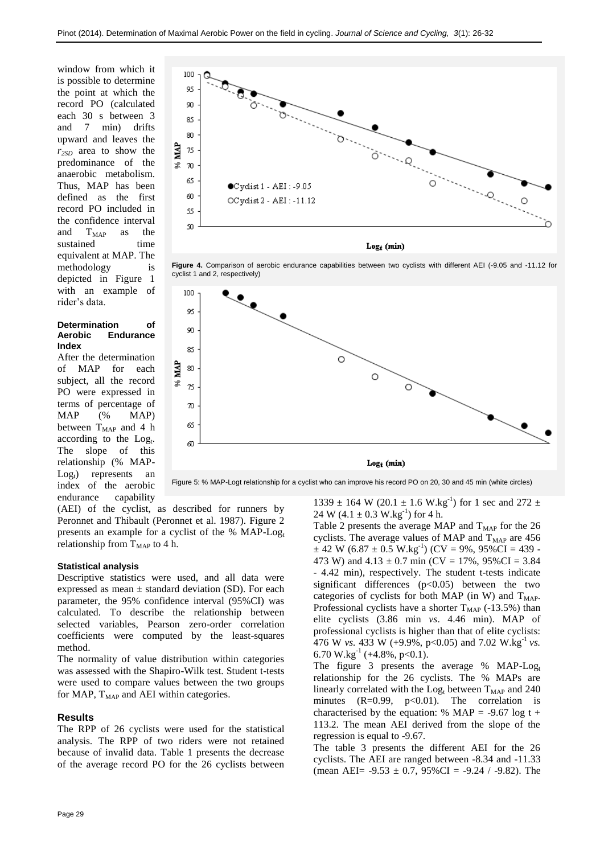window from which it is possible to determine the point at which the record PO (calculated each 30 s between 3 and 7 min) drifts upward and leaves the *r2SD* area to show the predominance of the anaerobic metabolism. Thus, MAP has been defined as the first record PO included in the confidence interval and  $T<sub>MAP</sub>$  as the sustained time equivalent at MAP. The methodology is depicted in Figure 1 with an example of rider's data.

#### **Determination of Aerobic Endurance Index**

After the determination of MAP for each subject, all the record PO were expressed in terms of percentage of MAP (% MAP) between  $T_{MAP}$  and 4 h according to the Log<sub>t</sub>. The slope of this relationship (% MAP- $Log<sub>t</sub>$ ) represents an index of the aerobic endurance capability



 $Log<sub>t</sub>$  (min)





Figure 5: % MAP-Logt relationship for a cyclist who can improve his record PO on 20, 30 and 45 min (white circles)

(AEI) of the cyclist, as described for runners by Peronnet and Thibault (Peronnet et al. 1987). Figure 2 presents an example for a cyclist of the %  $MAP-Log_t$ relationship from  $T<sub>MAP</sub>$  to 4 h.

#### **Statistical analysis**

Descriptive statistics were used, and all data were expressed as mean  $\pm$  standard deviation (SD). For each parameter, the 95% confidence interval (95%CI) was calculated. To describe the relationship between selected variables, Pearson zero-order correlation coefficients were computed by the least-squares method.

The normality of value distribution within categories was assessed with the Shapiro-Wilk test. Student t-tests were used to compare values between the two groups for MAP,  $T_{MAP}$  and AEI within categories.

#### **Results**

The RPP of 26 cyclists were used for the statistical analysis. The RPP of two riders were not retained because of invalid data. Table 1 presents the decrease of the average record PO for the 26 cyclists between

 $1339 \pm 164$  W (20.1  $\pm$  1.6 W.kg<sup>-1</sup>) for 1 sec and 272  $\pm$ 24 W (4.1  $\pm$  0.3 W.kg<sup>-1</sup>) for 4 h.

Table 2 presents the average MAP and  $T<sub>MAP</sub>$  for the 26 cyclists. The average values of MAP and  $T<sub>MAP</sub>$  are 456  $\pm$  42 W (6.87  $\pm$  0.5 W.kg<sup>-1</sup>) (CV = 9%, 95%CI = 439 -473 W) and  $4.13 \pm 0.7$  min (CV = 17%, 95%CI = 3.84) - 4.42 min), respectively. The student t-tests indicate significant differences  $(p<0.05)$  between the two categories of cyclists for both MAP (in W) and  $T_{MAP}$ . Professional cyclists have a shorter  $T<sub>MAP</sub>$  (-13.5%) than elite cyclists (3.86 min *vs*. 4.46 min). MAP of professional cyclists is higher than that of elite cyclists: 476 W *vs.* 433 W (+9.9%, p<0.05) and 7.02 W.kg<sup>-1</sup> *vs.* 6.70 W.kg<sup>-1</sup> (+4.8%, p<0.1).

The figure 3 presents the average % MAP- $Log<sub>t</sub>$ relationship for the 26 cyclists. The % MAPs are linearly correlated with the  $Log_t$  between  $T_{MAP}$  and 240 minutes  $(R=0.99, p<0.01)$ . The correlation is characterised by the equation: % MAP = -9.67 log t + 113.2. The mean AEI derived from the slope of the regression is equal to -9.67.

The table 3 presents the different AEI for the 26 cyclists. The AEI are ranged between -8.34 and -11.33 (mean AEI=  $-9.53 \pm 0.7$ ,  $95\%$ CI =  $-9.24$  /  $-9.82$ ). The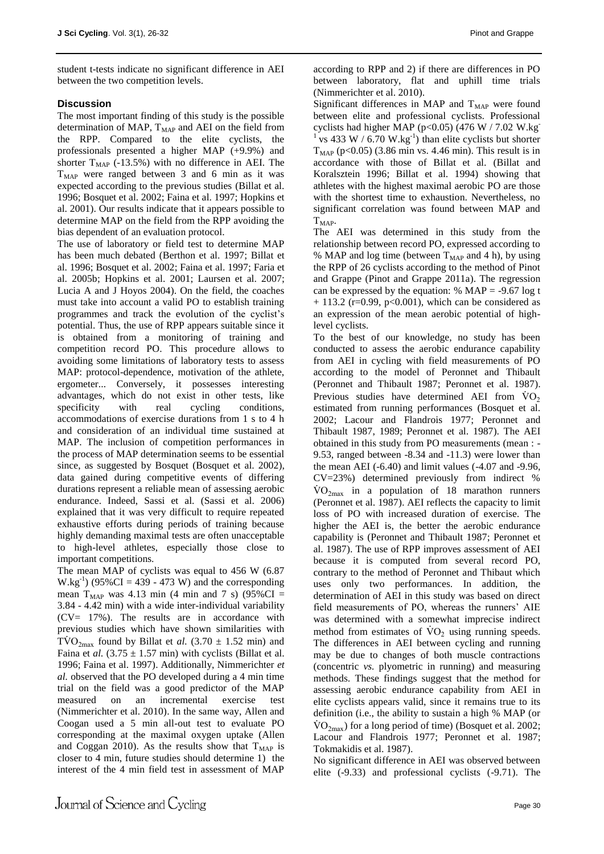student t-tests indicate no significant difference in AEI between the two competition levels.

## **Discussion**

The most important finding of this study is the possible determination of MAP,  $T_{MAP}$  and AEI on the field from the RPP. Compared to the elite cyclists, the professionals presented a higher MAP (+9.9%) and shorter  $T<sub>MAP</sub>$  (-13.5%) with no difference in AEI. The  $T<sub>MAP</sub>$  were ranged between 3 and 6 min as it was expected according to the previous studies (Billat et al. 1996; Bosquet et al. 2002; Faina et al. 1997; Hopkins et al. 2001). Our results indicate that it appears possible to determine MAP on the field from the RPP avoiding the bias dependent of an evaluation protocol.

The use of laboratory or field test to determine MAP has been much debated (Berthon et al. 1997; Billat et al. 1996; Bosquet et al. 2002; Faina et al. 1997; Faria et al. 2005b; Hopkins et al. 2001; Laursen et al. 2007; Lucia A and J Hoyos 2004). On the field, the coaches must take into account a valid PO to establish training programmes and track the evolution of the cyclist's potential. Thus, the use of RPP appears suitable since it is obtained from a monitoring of training and competition record PO. This procedure allows to avoiding some limitations of laboratory tests to assess MAP: protocol-dependence, motivation of the athlete, ergometer... Conversely, it possesses interesting advantages, which do not exist in other tests, like specificity with real cycling conditions, accommodations of exercise durations from 1 s to 4 h and consideration of an individual time sustained at MAP. The inclusion of competition performances in the process of MAP determination seems to be essential since, as suggested by Bosquet (Bosquet et al. 2002), data gained during competitive events of differing durations represent a reliable mean of assessing aerobic endurance. Indeed, Sassi et al. (Sassi et al. 2006) explained that it was very difficult to require repeated exhaustive efforts during periods of training because highly demanding maximal tests are often unacceptable to high-level athletes, especially those close to important competitions.

The mean MAP of cyclists was equal to 456 W (6.87  $W.kg^{-1}$ ) (95%CI = 439 - 473 W) and the corresponding mean  $T<sub>MAP</sub>$  was 4.13 min (4 min and 7 s) (95%CI = 3.84 - 4.42 min) with a wide inter-individual variability  $(CV= 17\%)$ . The results are in accordance with previous studies which have shown similarities with  $T\dot{V}O_{2\text{max}}$  found by Billat et *al.* (3.70  $\pm$  1.52 min) and Faina et *al.*  $(3.75 \pm 1.57 \text{ min})$  with cyclists (Billat et al. 1996; Faina et al. 1997). Additionally, Nimmerichter *et al.* observed that the PO developed during a 4 min time trial on the field was a good predictor of the MAP measured on an incremental exercise test (Nimmerichter et al. 2010). In the same way, Allen and Coogan used a 5 min all-out test to evaluate PO corresponding at the maximal oxygen uptake (Allen and Coggan 2010). As the results show that  $T_{MAP}$  is closer to 4 min, future studies should determine 1) the interest of the 4 min field test in assessment of MAP

according to RPP and 2) if there are differences in PO between laboratory, flat and uphill time trials (Nimmerichter et al. 2010).

Significant differences in MAP and  $T<sub>MAP</sub>$  were found between elite and professional cyclists. Professional cyclists had higher MAP (p<0.05) (476 W / 7.02 W.kg  $\frac{1}{1}$  vs 433 W / 6.70 W.kg<sup>-1</sup>) than elite cyclists but shorter  $T<sub>MAP</sub>$  (p<0.05) (3.86 min vs. 4.46 min). This result is in accordance with those of Billat et al. (Billat and Koralsztein 1996; Billat et al. 1994) showing that athletes with the highest maximal aerobic PO are those with the shortest time to exhaustion. Nevertheless, no significant correlation was found between MAP and  $T<sub>MAP</sub>$ .

The AEI was determined in this study from the relationship between record PO, expressed according to % MAP and log time (between  $T<sub>MAP</sub>$  and 4 h), by using the RPP of 26 cyclists according to the method of Pinot and Grappe (Pinot and Grappe 2011a). The regression can be expressed by the equation:  $%$  MAP = -9.67 log t  $+ 113.2$  (r=0.99, p<0.001), which can be considered as an expression of the mean aerobic potential of highlevel cyclists.

To the best of our knowledge, no study has been conducted to assess the aerobic endurance capability from AEI in cycling with field measurements of PO according to the model of Peronnet and Thibault (Peronnet and Thibault 1987; Peronnet et al. 1987). Previous studies have determined AEI from  $\text{VO}_2$ estimated from running performances (Bosquet et al. 2002; Lacour and Flandrois 1977; Peronnet and Thibault 1987, 1989; Peronnet et al. 1987). The AEI obtained in this study from PO measurements (mean : - 9.53, ranged between -8.34 and -11.3) were lower than the mean AEI (-6.40) and limit values (-4.07 and -9.96, CV=23%) determined previously from indirect %  $\rm \dot{VO}_{2max}$  in a population of 18 marathon runners (Peronnet et al. 1987). AEI reflects the capacity to limit loss of PO with increased duration of exercise. The higher the AEI is, the better the aerobic endurance capability is (Peronnet and Thibault 1987; Peronnet et al. 1987). The use of RPP improves assessment of AEI because it is computed from several record PO, contrary to the method of Peronnet and Thibaut which uses only two performances. In addition, the determination of AEI in this study was based on direct field measurements of PO, whereas the runners' AIE was determined with a somewhat imprecise indirect method from estimates of  $\rm \dot{V}O_{2}$  using running speeds. The differences in AEI between cycling and running may be due to changes of both muscle contractions (concentric *vs.* plyometric in running) and measuring methods. These findings suggest that the method for assessing aerobic endurance capability from AEI in elite cyclists appears valid, since it remains true to its definition (i.e., the ability to sustain a high % MAP (or  $\rm \dot{VO}_{2max}$ ) for a long period of time) (Bosquet et al. 2002; Lacour and Flandrois 1977; Peronnet et al. 1987; Tokmakidis et al. 1987).

No significant difference in AEI was observed between elite (-9.33) and professional cyclists (-9.71). The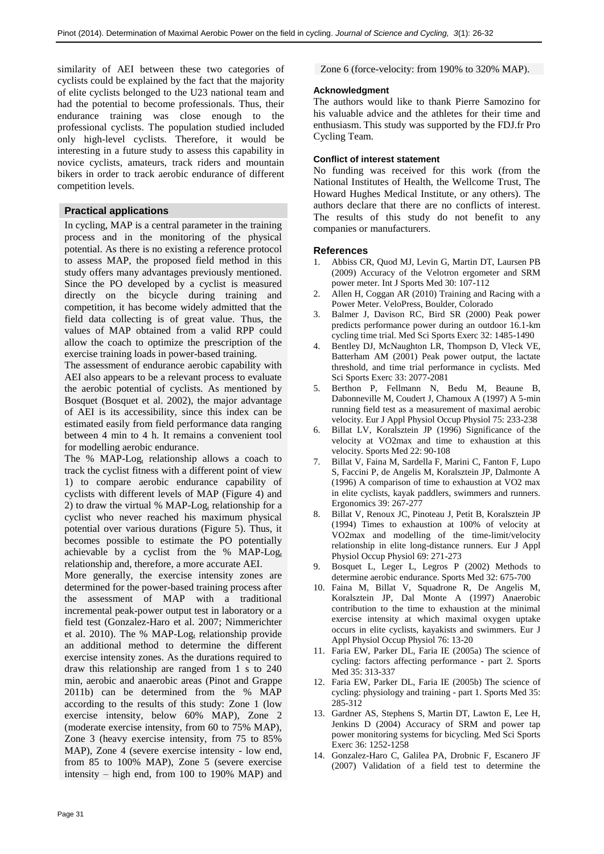similarity of AEI between these two categories of cyclists could be explained by the fact that the majority of elite cyclists belonged to the U23 national team and had the potential to become professionals. Thus, their endurance training was close enough to the professional cyclists. The population studied included only high-level cyclists. Therefore, it would be interesting in a future study to assess this capability in novice cyclists, amateurs, track riders and mountain bikers in order to track aerobic endurance of different competition levels.

## **Practical applications**

In cycling, MAP is a central parameter in the training process and in the monitoring of the physical potential. As there is no existing a reference protocol to assess MAP, the proposed field method in this study offers many advantages previously mentioned. Since the PO developed by a cyclist is measured directly on the bicycle during training and competition, it has become widely admitted that the field data collecting is of great value. Thus, the values of MAP obtained from a valid RPP could allow the coach to optimize the prescription of the exercise training loads in power-based training.

The assessment of endurance aerobic capability with AEI also appears to be a relevant process to evaluate the aerobic potential of cyclists. As mentioned by Bosquet (Bosquet et al. 2002), the major advantage of AEI is its accessibility, since this index can be estimated easily from field performance data ranging between 4 min to 4 h. It remains a convenient tool for modelling aerobic endurance.

The %  $MAP-Log<sub>t</sub>$  relationship allows a coach to track the cyclist fitness with a different point of view 1) to compare aerobic endurance capability of cyclists with different levels of MAP (Figure 4) and 2) to draw the virtual % MAP-Log<sub>t</sub> relationship for a cyclist who never reached his maximum physical potential over various durations (Figure 5). Thus, it becomes possible to estimate the PO potentially achievable by a cyclist from the  $%$  MAP-Log<sub>t</sub> relationship and, therefore, a more accurate AEI.

More generally, the exercise intensity zones are determined for the power-based training process after the assessment of MAP with a traditional incremental peak-power output test in laboratory or a field test (Gonzalez-Haro et al. 2007; Nimmerichter et al. 2010). The % MAP-Log<sub>t</sub> relationship provide an additional method to determine the different exercise intensity zones. As the durations required to draw this relationship are ranged from 1 s to 240 min, aerobic and anaerobic areas (Pinot and Grappe 2011b) can be determined from the % MAP according to the results of this study: Zone 1 (low exercise intensity, below 60% MAP), Zone 2 (moderate exercise intensity, from 60 to 75% MAP), Zone 3 (heavy exercise intensity, from 75 to 85% MAP), Zone 4 (severe exercise intensity - low end, from 85 to 100% MAP), Zone 5 (severe exercise intensity – high end, from 100 to 190% MAP) and

Zone 6 (force-velocity: from 190% to 320% MAP).

## **Acknowledgment**

The authors would like to thank Pierre Samozino for his valuable advice and the athletes for their time and enthusiasm. This study was supported by the FDJ.fr Pro Cycling Team.

## **Conflict of interest statement**

No funding was received for this work (from the National Institutes of Health, the Wellcome Trust, The Howard Hughes Medical Institute, or any others). The authors declare that there are no conflicts of interest. The results of this study do not benefit to any companies or manufacturers.

## **References**

- 1. Abbiss CR, Quod MJ, Levin G, Martin DT, Laursen PB (2009) Accuracy of the Velotron ergometer and SRM power meter. Int J Sports Med 30: 107-112
- 2. Allen H, Coggan AR (2010) Training and Racing with a Power Meter. VeloPress, Boulder, Colorado
- 3. Balmer J, Davison RC, Bird SR (2000) Peak power predicts performance power during an outdoor 16.1-km cycling time trial. Med Sci Sports Exerc 32: 1485-1490
- 4. Bentley DJ, McNaughton LR, Thompson D, Vleck VE, Batterham AM (2001) Peak power output, the lactate threshold, and time trial performance in cyclists. Med Sci Sports Exerc 33: 2077-2081
- 5. Berthon P, Fellmann N, Bedu M, Beaune B, Dabonneville M, Coudert J, Chamoux A (1997) A 5-min running field test as a measurement of maximal aerobic velocity. Eur J Appl Physiol Occup Physiol 75: 233-238
- 6. Billat LV, Koralsztein JP (1996) Significance of the velocity at VO2max and time to exhaustion at this velocity. Sports Med 22: 90-108
- 7. Billat V, Faina M, Sardella F, Marini C, Fanton F, Lupo S, Faccini P, de Angelis M, Koralsztein JP, Dalmonte A (1996) A comparison of time to exhaustion at VO2 max in elite cyclists, kayak paddlers, swimmers and runners. Ergonomics 39: 267-277
- 8. Billat V, Renoux JC, Pinoteau J, Petit B, Koralsztein JP (1994) Times to exhaustion at 100% of velocity at VO2max and modelling of the time-limit/velocity relationship in elite long-distance runners. Eur J Appl Physiol Occup Physiol 69: 271-273
- Bosquet L, Leger L, Legros P (2002) Methods to determine aerobic endurance. Sports Med 32: 675-700
- 10. Faina M, Billat V, Squadrone R, De Angelis M, Koralsztein JP, Dal Monte A (1997) Anaerobic contribution to the time to exhaustion at the minimal exercise intensity at which maximal oxygen uptake occurs in elite cyclists, kayakists and swimmers. Eur J Appl Physiol Occup Physiol 76: 13-20
- 11. Faria EW, Parker DL, Faria IE (2005a) The science of cycling: factors affecting performance - part 2. Sports Med 35: 313-337
- 12. Faria EW, Parker DL, Faria IE (2005b) The science of cycling: physiology and training - part 1. Sports Med 35: 285-312
- 13. Gardner AS, Stephens S, Martin DT, Lawton E, Lee H, Jenkins D (2004) Accuracy of SRM and power tap power monitoring systems for bicycling. Med Sci Sports Exerc 36: 1252-1258
- 14. Gonzalez-Haro C, Galilea PA, Drobnic F, Escanero JF (2007) Validation of a field test to determine the